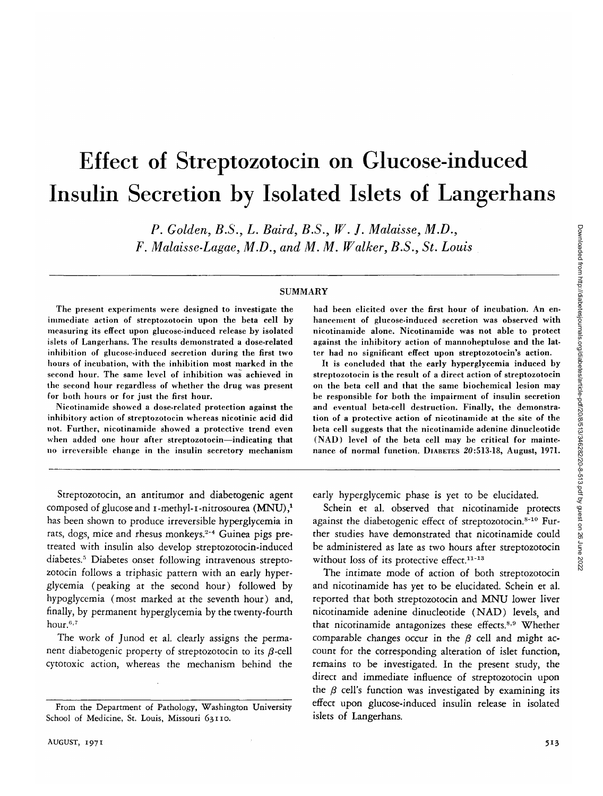# Effect of Streptozotocin on Glucose-induced Insulin Secretion by Isolated Islets of Langerhans

*P. Golden, B.S., L. Baird, B.S., W. J. Malaisse, M.D., F. Malaisse-Lagae, M.D., and M. M. Walker, B.S., St. Louis*

#### SUMMARY

The present experiments were designed to investigate the immediate action of streptozotocin upon the beta cell by measuring its effect upon glucose-induced release by isolated islets of Langerhans. The results demonstrated a dose-related inhibition of glucose-induced secretion during the first two hours of incubation, with the inhibition most marked in the second hour. The same level of inhibition was achieved in the second hour regardless of whether the drug was present for both hours or for just the first hour.

Nicotinamide showed a dose-related protection against the inhibitory action of streptozotocin whereas nicotinic acid did not. Further, nicotinamide showed a protective trend even when added one hour after streptozotocin—indicating that no irreversible change in the insulin secretory mechanism

Streptozotocin, an antitumor and diabetogenic agent composed of glucose and  $\iota$ -methyl- $\iota$ -nitrosourea (MNU),<sup>1</sup> has been shown to produce irreversible hyperglycemia in rats, dogs, mice and rhesus monkeys.<sup>2-4</sup> Guinea pigs pretreated with insulin also develop streptozotocin-induced diabetes.5 Diabetes onset following intravenous streptozotocin follows a triphasic pattern with an early hyperglycemia (peaking at the second hour) followed by hypoglycemia (most marked at the seventh hour) and, finally, by permanent hyperglycemia by the twenty-fourth hour.<sup>6,7</sup>

The work of Junod et al. clearly assigns the permanent diabetogenic property of streptozotocin to its  $\beta$ -cell cytotoxic action, whereas the mechanism behind the had been elicited over the first hour of incubation. An enhancement of glucose-induced secretion was observed with nicotinamide alone. Nicotinamide was not able to protect against the inhibitory action of mannoheptulose and the latter had no significant effect upon streptozotocin's action.

It is concluded that the early hyperglycemia induced by streptozotocin is the result of a direct action of streptozotocin on the beta cell and that the same biochemical lesion may be responsible for both the impairment of insulin secretion and eventual beta-cell destruction. Finally, the demonstration of a protective action of nicotinamide at the site of the beta cell suggests that the nicotinamide adenine dinucleotide (NAD) level of the beta cell may be critical for maintenance of normal function. DIABETES 20:513-18, August, 1971.

Downloaded from http://diabetesjournals.org/diabetes/article-pdf/20/8/513/346282/20-8-513.pdf by guest on 26 June 2022 Downloaded from http://diabetesjournals.org/diabetes/article-pdf/20/8/513/346282/20-8-513.pdf by guest on 26 June 2022

early hyperglycemic phase is yet to be elucidated.

Schein et al. observed that nicotinamide protects against the diabetogenic effect of streptozotocin.<sup>8-10</sup> Further studies have demonstrated that nicotinamide could be administered as late as two hours after streptozotocin without loss of its protective effect.<sup>11-13</sup>

The intimate mode of action of both streptozotocin and nicotinamide has yet to be elucidated. Schein et al. reported that both streptozotocin and MNU lower liver nicotinamide adenine dinucleotide (NAD) levels, and that nicotinamide antagonizes these effects.<sup>8,9</sup> Whether comparable changes occur in the  $\beta$  cell and might account for the corresponding alteration of islet function, remains to be investigated. In the present study, the direct and immediate influence of streptozotocin upon the  $\beta$  cell's function was investigated by examining its effect upon glucose-induced insulin release in isolated islets of Langerhans.

From the Department of Pathology, Washington University School of Medicine, St. Louis, Missouri 63110.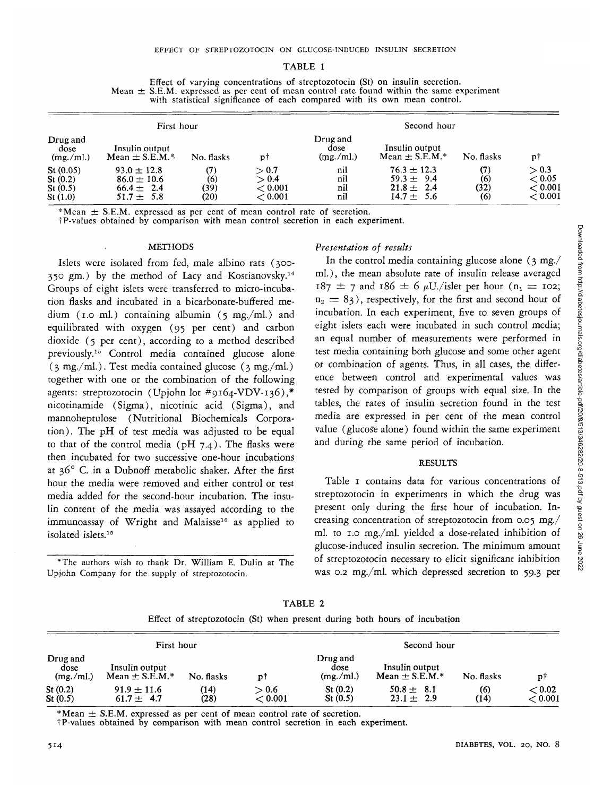#### TABLE 1

| Effect of varying concentrations of streptozotocin (St) on insulin secretion.                 |
|-----------------------------------------------------------------------------------------------|
| Mean $\pm$ S.E.M. expressed as per cent of mean control rate found within the same experiment |
| with statistical significance of each compared with its own mean control.                     |

|                                           | First hour                                                                  |                            |                                      | Second hour                   |                                                                       |                           |                                              |  |
|-------------------------------------------|-----------------------------------------------------------------------------|----------------------------|--------------------------------------|-------------------------------|-----------------------------------------------------------------------|---------------------------|----------------------------------------------|--|
| Drug and<br>dose<br>(mg./ml.)             | Insulin output<br>Mean $\pm$ S.E.M.*                                        | No. flasks                 | p†                                   | Drug and<br>dose<br>(mg./ml.) | Insulin output<br>Mean $\pm$ S.E.M.*                                  | No. flasks                | рţ                                           |  |
| St(0.05)<br>St(0.2)<br>St(0.5)<br>St(1.0) | $93.0 \pm 12.8$<br>$86.0 \pm 10.6$<br>$66.4 \pm 2.4$<br>- 5.8<br>$51.7 \pm$ | (7)<br>(6)<br>(39)<br>(20) | > 0.7<br>> 0.4<br>< 0.001<br>< 0.001 | nil<br>nil<br>nil<br>nil      | $76.3 \pm 12.3$<br>$59.3 \pm 9.4$<br>$21.8 \pm 2.4$<br>$14.7 \pm 5.6$ | (7)<br>(6)<br>(32)<br>(6) | > 0.3<br>< 0.05<br>$<$ 0.001 $\,$<br>< 0.001 |  |

\*Mean  $\pm$  S.E.M. expressed as per cent of mean control rate of secretion.<br>†P-values obtained by comparison with mean control secretion in each experiment.

#### **METHODS**

Islets were isolated from fed, male albino rats (300- 350 gm.) by the method of Lacy and Kostianovsky.<sup>14</sup> Groups of eight islets were transferred to micro-incubation flasks and incubated in a bicarbonate-buffered medium (1.0 ml.) containing albumin (5 mg./ml.) and equilibrated with oxygen (95 per cent) and carbon dioxide (5 per cent), according to a method described previously.<sup>15</sup> Control media contained glucose alone  $(3 \text{ mg./ml.})$ . Test media contained glucose  $(3 \text{ mg./ml.})$ together with one or the combination of the following agents: streptozotocin (Upjohn lot #9164-VDV-136),\* nicotinamide (Sigma), nicotinic acid (Sigma), and mannoheptulose (Nutritional Biochemicals Corporation). The pH of test media was adjusted to be equal to that of the control media ( $pH$  7.4). The flasks were then incubated for two successive one-hour incubations at 36° C. in a Dubnoff metabolic shaker. After the first hour the media were removed and either control or test media added for the second-hour incubation. The insulin content of the media was assayed according to the immunoassay of Wright and Malaisse<sup>16</sup> as applied to isolated islets.<sup>15</sup>

\*The authors wish to thank Dr. William E. Dulin at The Upjohn Company for the supply of streptozotocin.

#### *Presentation of results*

In the control media containing glucose alone (3 mg./ ml.), the mean absolute rate of insulin release averaged  $187 \pm 7$  and  $186 \pm 6$   $\mu$ U./islet per hour (n<sub>1</sub> = 102;  $n_2 = 83$ ), respectively, for the first and second hour of incubation. In each experiment, five to seven groups of eight islets each were incubated in such control media; an equal number of measurements were performed in test media containing both glucose and some other agent or combination of agents. Thus, in all cases, the difference between control and experimental values was tested by comparison of groups with equal size. In the tables, the rates of insulin secretion found in the test media are expressed in per cent of the mean control value (glucose alone) found within the same experiment and during the same period of incubation.

#### RESULTS

Table 1 contains data for various concentrations of streptozotocin in experiments in which the drug was present only during the first hour of incubation. Increasing concentration of streptozotocin from 0.05 mg./ ml. to 1.0 mg./ml. yielded a dose-related inhibition of glucose-induced insulin secretion. The minimum amount of streptozotocin necessary to elicit significant inhibition was 0.2 mg./ml. which depressed secretion to 59.3 per

TABLE 2

Effect of streptozotocin (St) when present during both hours of incubation

|                               | First hour                           |              |                  |                               | Second hour                          |             |                   |
|-------------------------------|--------------------------------------|--------------|------------------|-------------------------------|--------------------------------------|-------------|-------------------|
| Drug and<br>dose<br>(mg./ml.) | Insulin output<br>Mean $\pm$ S.E.M.* | No. flasks   | p†               | Drug and<br>dose<br>(mg./ml.) | Insulin output<br>Mean $\pm$ S.E.M.* | No. flasks  | p†                |
| St(0.2)<br>St(0.5)            | $91.9 \pm 11.6$<br>$61.7 \pm 4.7$    | (14)<br>(28) | > 0.6<br>< 0.001 | St(0.2)<br>St(0.5)            | $50.8 \pm 8.1$<br>$23.1 \pm 2.9$     | (6)<br>(14) | < 0.02<br>< 0.001 |

\*Mean  $\pm$  S.E.M. expressed as per cent of mean control rate of secretion.

tP-values obtained by comparison with mean control secretion in each experiment.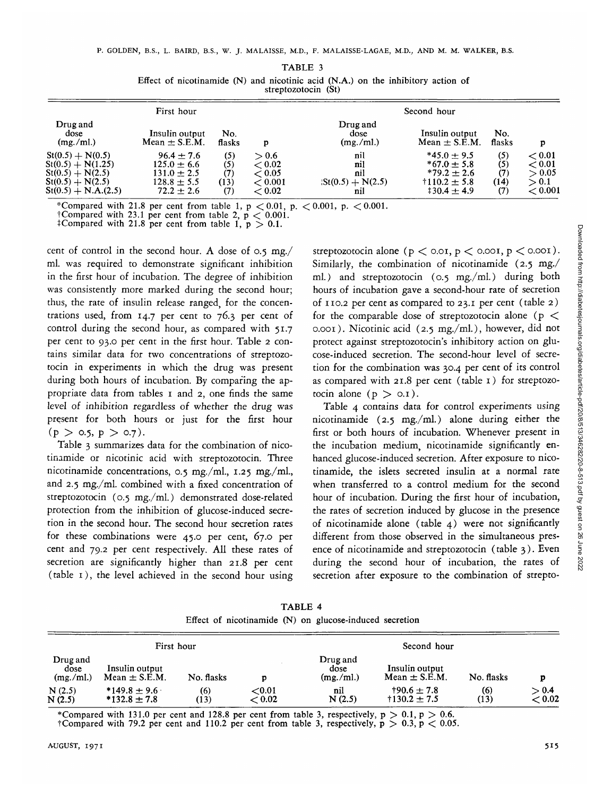| First hour                                                                                                     |                                                                                         |                                  |                                                | Second hour                                                  |                                                                                                 |                           |                                                              |
|----------------------------------------------------------------------------------------------------------------|-----------------------------------------------------------------------------------------|----------------------------------|------------------------------------------------|--------------------------------------------------------------|-------------------------------------------------------------------------------------------------|---------------------------|--------------------------------------------------------------|
| Drug and<br>dose<br>(mg./ml.)                                                                                  | Insulin output<br>Mean $\pm$ S.E.M.                                                     | No.<br>flasks                    | p                                              | Drug and<br>dose<br>(mg./ml.)                                | Insulin output<br>Mean $\pm$ S.E.M.                                                             | No.<br>flasks             |                                                              |
| $St(0.5) + N(0.5)$<br>$St(0.5) + N(1.25)$<br>$St(0.5) + N(2.5)$<br>$St(0.5) + N(2.5)$<br>$St(0.5) + N.A.(2.5)$ | $96.4 + 7.6$<br>$125.0 \pm 6.6$<br>$131.0 \pm 2.5$<br>$128.8 \pm 5.5$<br>$72.2 \pm 2.6$ | (5)<br>(5)<br>(7)<br>(13)<br>(7) | > 0.6<br>< 0.02<br>< 0.05<br>< 0.001<br>< 0.02 | nil<br>nil<br>nil<br>$\text{St}(0.5) + \text{N}(2.5)$<br>nil | $*45.0 + 9.5$<br>$*67.0 + 5.8$<br>$*79.2 \pm 2.6$<br>$\text{+}110.2 \pm 5.8$<br>$130.4 \pm 4.9$ | (5)<br>(5)<br>(7)<br>(14) | < 0.01<br>$<$ 0.01 $\,$<br>> 0.05<br>> 0.1<br>$<$ 0.001 $\,$ |

TABLE 3 Effect of nicotinamide (N) and nicotinic acid (N.A.) on the inhibitory action of streptozotocin (St)

\*Compared with 21.8 per cent from table 1, p  $< 0.01$ , p.  $< 0.001$ , p.  $< 0.001$ .<br>†Compared with 23.1 per cent from table 2, p  $< 0.001$ .<br>†Compared with 21.8 per cent from table 1, p  $> 0.1$ .

cent of control in the second hour. A dose of 0.5 mg./ ml. was required to demonstrate significant inhibition in the first hour of incubation. The degree of inhibition was consistently more marked during the second hour; thus, the rate of insulin release ranged, for the concentrations used, from 14.7 per cent to 76.3 per cent of control during the second hour, as compared with 51.7 per cent to 93.0 per cent in the first hour. Table 2 contains similar data for two concentrations of streptozotocin in experiments in which the drug was present during both hours of incubation. By comparing the appropriate data from tables 1 and 2, one finds the same level of inhibition regardless of whether the drug was present for both hours or just for the first hour  $(p > 0.5, p > 0.7)$ .

Table 3 summarizes data for the combination of nicotinamide or nicotinic acid with streptozotocin. Three nicotinamide concentrations, 0.5 mg./ml., 1.25 mg./ml., and 2.5 mg./ml. combined with a fixed concentration of streptozotocin (0.5 mg./ml.) demonstrated dose-related protection from the inhibition of glucose-induced secretion in the second hour. The second hour secretion rates for these combinations were 45.0 per cent, 67.0 per cent and 79.2 per cent respectively. All these rates of secretion are significantly higher than 21.8 per cent (table 1), the level achieved in the second hour using streptozotocin alone ( $p < 0.01$ ,  $p < 0.001$ ,  $p < 0.001$ ). Similarly, the combination of nicotinamide (2.5 mg./ ml.) and streptozotocin (0.5 mg./ml.) during both hours of incubation gave a second-hour rate of secretion of 110.2 per cent as compared to 23.1 per cent (table 2) for the comparable dose of streptozotocin alone ( $p <$ 0.001). Nicotinic acid (2.5 mg./ml.), however, did not protect against streptozotocin's inhibitory action on glucose-induced secretion. The second-hour level of secretion for the combination was 30.4 per cent of its control as compared with 21.8 per cent (table 1) for streptozotocin alone  $(p > 0.1)$ .

Table 4 contains data for control experiments using nicotinamide (2.5 mg./ml.) alone during either the first or both hours of incubation. Whenever present in the incubation medium, nicotinamide significantly enhanced glucose-induced secretion. After exposure to nicotinamide, the islets secreted insulin at a normal rate when transferred to a control medium for the second hour of incubation. During the first hour of incubation, the rates of secretion induced by glucose in the presence of nicotinamide alone (table 4) were not significantly different from those observed in the simultaneous presence of nicotinamide and streptozotocin (table 3). Even during the second hour of incubation, the rates of secretion after exposure to the combination of strepto-

|  | TABLE 4 |                                                         |  |
|--|---------|---------------------------------------------------------|--|
|  |         | Effect of nicotinamide (N) on glucose-induced secretion |  |

| First hour                    |                                      |             |                     |                               |                                              |             |                 |
|-------------------------------|--------------------------------------|-------------|---------------------|-------------------------------|----------------------------------------------|-------------|-----------------|
| Drug and<br>dose<br>(mg./ml.) | Insulin output<br>Mean $\pm$ S.E.M.  | No. flasks  |                     | Drug and<br>dose<br>(mg./ml.) | Insulin output<br>Mean $\pm$ S.E.M.          | No. flasks  | p               |
| N(2.5)<br>N(2.5)              | $*149.8 \pm 9.6$<br>$*132.8 \pm 7.8$ | (6)<br>(13) | ${<}0.01$<br>< 0.02 | nil<br>N(2.5)                 | $+90.6 \pm 7.8$<br>$\dagger$ 130.2 $\pm$ 7.5 | (6)<br>(13) | > 0.4<br>< 0.02 |

'"Compared tCompared with 131.0 per ceni with 131.0 per cent and 128.8 per cent from table 3, respectively,  $p > 0.1$ ,  $p > 0.6$ .<br>with 79.2 per cent and 110.2 per cent from table 3, respectively,  $p > 0.3$ ,  $p < 0.05$ .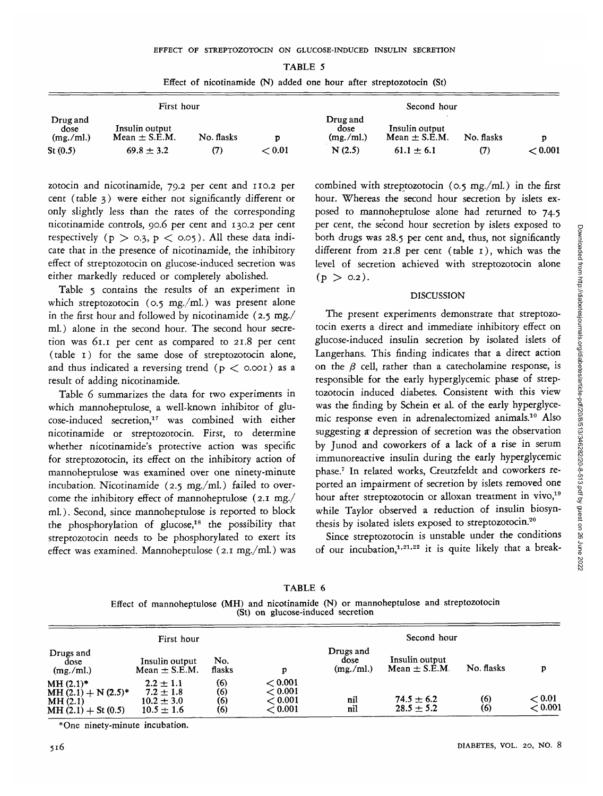| Ħ<br>v. |  |
|---------|--|
|---------|--|

|                               | First hour                          |            |        |                                 | Second hour                         |            |             |
|-------------------------------|-------------------------------------|------------|--------|---------------------------------|-------------------------------------|------------|-------------|
| Drug and<br>dose<br>(mg./ml.) | Insulin output<br>Mean $\pm$ S.E.M. | No. flasks |        | Drug and<br>dose<br>(mg. / ml.) | Insulin output<br>Mean $\pm$ S.E.M. | No. flasks | n           |
| St(0.5)                       | $69.8 \pm 3.2$                      | 77)        | < 0.01 | N(2.5)                          | $61.1 \pm 6.1$                      | (7)        | $\,<$ 0.001 |

Effect of nicotinamide (N) added one hour after streptozotocin (St)

zotocin and nicotinamide, 79.2 per cent and 110.2 per cent (table 3) were either not significantly different or only slightly less than the rates of the corresponding nicotinamide controls, 90.6 per cent and 130.2 per cent respectively ( $p > 0.3$ ,  $p < 0.05$ ). All these data indicate that in the presence of nicotinamide, the inhibitory effect of streptozotocin on glucose-induced secretion was either markedly reduced or completely abolished.

Table 5 contains the results of an experiment in which streptozotocin (0.5 mg./ml.) was present alone in the first hour and followed by nicotinamide (2.5 mg./ ml.) alone in the second hour. The second hour secretion was 61.1 per cent as compared to 21.8 per cent (table 1) for the same dose of streptozotocin alone, and thus indicated a reversing trend ( $p <$  0.001) as a result of adding nicotinamide.

Table 6 summarizes the data for two experiments in which mannoheptulose, a well-known inhibitor of glucose-induced secretion,<sup>17</sup> was combined with either nicotinamide or streptozotocin. First, to determine whether nicotinamide's protective action was specific for streptozotocin, its effect on the inhibitory action of mannoheptulose was examined over one ninety-minute incubation. Nicotinamide (2.5 mg./ml.) failed to overcome the inhibitory effect of mannoheptulose (2.1 mg./ ml.). Second, since mannoheptulose is reported to block the phosphorylation of glucose,<sup>18</sup> the possibility that streptozotocin needs to be phosphorylated to exert its effect was examined. Mannoheptulose (2.1 mg./ml.) was combined with streptozotocin (0.5 mg./ml.) in the first hour. Whereas the second hour secretion by islets exposed to mannoheptulose alone had returned to 74.5 per cent, the second hour secretion by islets exposed to both drugs was 28.5 per cent and, thus, not significantly different from 21.8 per cent (table 1), which was the level of secretion achieved with streptozotocin alone  $(p > 0.2)$ .

### **DISCUSSION**

The present experiments demonstrate that streptozotocin exerts a direct and immediate inhibitory effect on glucose-induced insulin secretion by isolated islets of Langerhans. This finding indicates that a direct action on the  $\beta$  cell, rather than a catecholamine response, is responsible for the early hyperglycemic phase of streptozotocin induced diabetes. Consistent with this view was the finding by Schein et al. of the early hyperglycemic response even in adrenalectomized animals.10 Also suggesting ar depression of secretion was the observation by Junod and coworkers of a lack of a rise in serum immunoreactive insulin during the early hyperglycemic phase.7 In related works, Creutzfeldt and coworkers reported an impairment of secretion by islets removed one hour after streptozotocin or alloxan treatment in vivo,<sup>19</sup> while Taylor observed a reduction of insulin biosynthesis by isolated islets exposed to streptozotocin.<sup>20</sup>

Since streptozotocin is unstable under the conditions of our incubation,<sup>1,21,22</sup> it is quite likely that a break-

TABLE 6 Effect of mannoheptulose (MH) and nicotinamide (N) or mannoheptulose and streptozotocin (St) on glucose-induced secretion

|                                                                         | First hour                                                         |                          |                                          | Second hour                    |                                     |            |                   |
|-------------------------------------------------------------------------|--------------------------------------------------------------------|--------------------------|------------------------------------------|--------------------------------|-------------------------------------|------------|-------------------|
| Drugs and<br>dose<br>(mg./ml.)                                          | Insulin output<br>Mean $\pm$ S.E.M.                                | No.<br>flasks            | D                                        | Drugs and<br>dose<br>(mg./ml.) | Insulin output<br>$Mean \pm S.E.M.$ | No. flasks | р                 |
| $MH (2.1)*$<br>$MH (2.1) + N (2.5)^*$<br>MH(2.1)<br>$MH(2.1) + St(0.5)$ | $2.2 \pm 1.1$<br>$7.2 \pm 1.8$<br>$10.2 \pm 3.0$<br>$10.5 \pm 1.6$ | (6)<br>(6)<br>(6)<br>(6) | < 0.001<br>< 0.001<br>< 0.001<br>< 0.001 | nil<br>nil                     | $74.5 \pm 6.2$<br>$28.5 \pm 5.2$    | (6)<br>(6) | < 0.01<br>< 0.001 |

\*One ninety-minute incubation.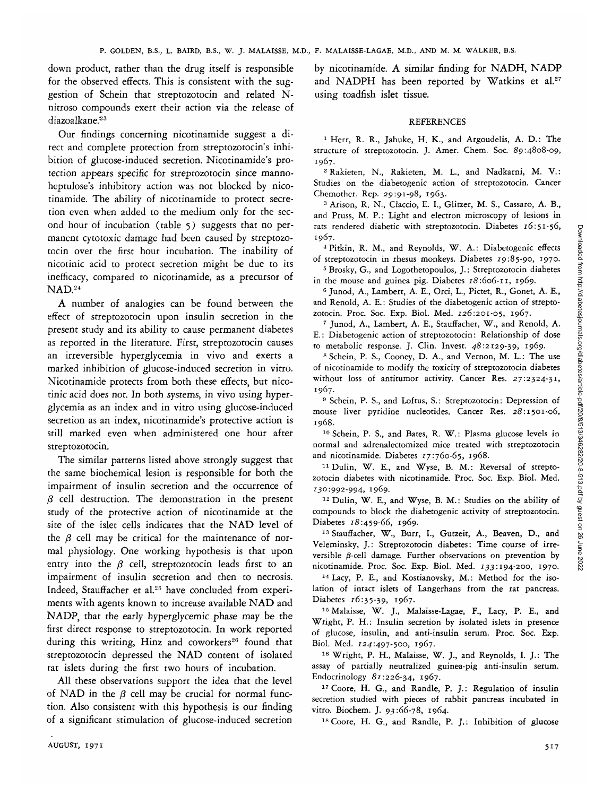down product, rather than the drug itself is responsible for the observed effects. This is consistent with the suggestion of Schein that streptozotocin and related Nnitroso compounds exert their action via the release of diazoalkane.<sup>23</sup>

Our findings concerning nicotinamide suggest a direct and complete protection from streptozotocin's inhibition of glucose-induced secretion. Nicotinamide's protection appears specific for streptozotocin since mannoheptulose's inhibitory action was not blocked by nicotinamide. The ability of nicotinamide to protect secretion even when added to the medium only for the second hour of incubation (table 5) suggests that no permanent cytotoxic damage had been caused by streptozotocin over the first hour incubation. The inability of nicotinic acid to protect secretion might be due to its inefficacy, compared to nicotinamide, as a precursor of NAD.<sup>24</sup>

A number of analogies can be found between the effect of streptozotocin upon insulin secretion in the present study and its ability to cause permanent diabetes as reported in the literature. First, streptozotocin causes an irreversible hyperglycemia in vivo and exerts a marked inhibition of glucose-induced secretion in vitro. Nicotinamide protects from both these effects, but nicotinic acid does not. In both systems, in vivo using hyperglycemia as an index and in vitro using glucose-induced secretion as an index, nicotinamide's protective action is still marked even when administered one hour after streptozotocin.

The similar patterns listed above strongly suggest that the same biochemical lesion is responsible for both the impairment of insulin secretion and the occurrence of  $\beta$  cell destruction. The demonstration in the present study of the protective action of nicotinamide at the site of the islet cells indicates that the NAD level of the  $\beta$  cell may be critical for the maintenance of normal physiology. One working hypothesis is that upon entry into the  $\beta$  cell, streptozotocin leads first to an impairment of insulin secretion and then to necrosis. Indeed, Stauffacher et al.<sup>25</sup> have concluded from experiments with agents known to increase available NAD and NADP, that the early hyperglycemic phase may be the first direct response to streptozotocin. In work reported during this writing, Hinz and coworkers<sup>26</sup> found that streptozotocin depressed the NAD content of isolated rat islets during the first two hours of incubation.

All these observations support the idea that the level of NAD in the  $\beta$  cell may be crucial for normal function. Also consistent with this hypothesis is our finding of a significant stimulation of glucose-induced secretion by nicotinamide. A similar finding for NADH, NADP and NADPH has been reported by Watkins et al.<sup>27</sup> using toadfish islet tissue.

### REFERENCES

<sup>1</sup> Herr, R. R., Jahuke, H. K., and Argoudelis, A. D.: The structure of streptozotocin. J. Amer. Chem. Soc. 89:4808-09, 1967.

Rakieten, N., Rakieten, M. L., and Nadkarni, M. V.: Studies on the diabetogenic action of streptozotocin. Cancer Chemother. Rep. 29:91-98, 1963.

<sup>3</sup> Arison, R. N., Claccio, E. I., Glitzer, M. S., Cassaro, A. B., and Pruss, M. P.: Light and electron microscopy of lesions in rats rendered diabetic with streptozotocin. Diabetes 16:51-56, 1967.

 Pitkin, R. M., and Reynolds, W. A.: Diabetogenic effects of streptozotocin in rhesus monkeys. Diabetes 19:85-90, 1970.

<sup>5</sup> Brosky, G., and Logothetopoulos, J.: Streptozotocin diabetes in the mouse and guinea pig. Diabetes  $18:606$ -11, 1969.

<sup>6</sup> Junod, A., Lambert, A. E., Orci, L., Pictet, R., Gonet, A. E., and Renold, A. E.: Studies of the diabetogenic action of streptozotocin. Proc. Soc. Exp. Biol. Med. 126:201-05, 1967.

 Junod, A., Lambert, A. E., Stauffacher, W., and Renold, A. E.: Diabetogenic action of streptozotocin: Relationship of dose to metabolic response. J. Clin. Invest.  $48:2129-39$ , 1969.

<sup>8</sup> Schein, P. S., Cooney, D. A., and Vernon, M. L.: The use of nicotinamide to modify the toxicity of streptozotocin diabetes without loss of antitumor activity. Cancer Res. 27:2324-31, 1967.

<sup>9</sup> Schein, P. S., and Loftus, S.: Streptozotocin: Depression of mouse liver pyridine nucleotides. Cancer Res. 28:1501-06, 1968.

10 Schein, P. S., and Bates, R. W.: Plasma glucose levels in normal and adrenalectomized mice treated with streptozotocin and nicotinamide. Diabetes 17:760-65, 1968.

11Dulin, W. E., and Wyse, B. M.: Reversal of streptozotocin diabetes with nicotinamide. Proc. Soc. Exp. Biol. Med. 130:992-994, 1969<br>- <sup>12</sup> Dulin W F

<sup>12</sup> Dulin, W. E., and Wyse, B. M.: Studies on the ability of compounds to block the diabetogenic activity of streptozotocin. Diabetes 18:459-66, 1969.

<sup>13</sup> Stauffacher, W., Burr, I., Gutzeit, A., Beaven, D., and Veleminsky, J.: Streptozotocin diabetes: Time course of irreversible  $\beta$ -cell damage. Further observations on prevention by nicotinamide. Proc. Soc. Exp. Biol. Med. 133:194-200, 1970.

14 Lacy, P. E., and Kostianovsky, M.: Method for the isolation of intact islets of Langerhans from the rat pancreas. Diabetes 16:35-39, 1967.

15 Malaisse, W. J., Malaisse-Lagae, F., Lacy, P. E., and Wright, P. H.: Insulin secretion by isolated islets in presence of glucose, insulin, and anti-insulin serum. Proc. Soc. Exp. Biol. Med. 124:497-500, 1967.

<sup>16</sup> Wright, P. H., Malaisse, W. J., and Reynolds, I. J.: The assay of partially neutralized guinea-pig anti-insulin serum. Endocrinology  $81:226-34$ , 1967.

<sup>17</sup> Coore, H. G., and Randle, P. J.: Regulation of insulin secretion studied with pieces of rabbit pancreas incubated in vitro. Biochem. J. 93:66-78, 1964.

<sup>18</sup> Coore, H. G., and Randle, P. J.: Inhibition of glucose